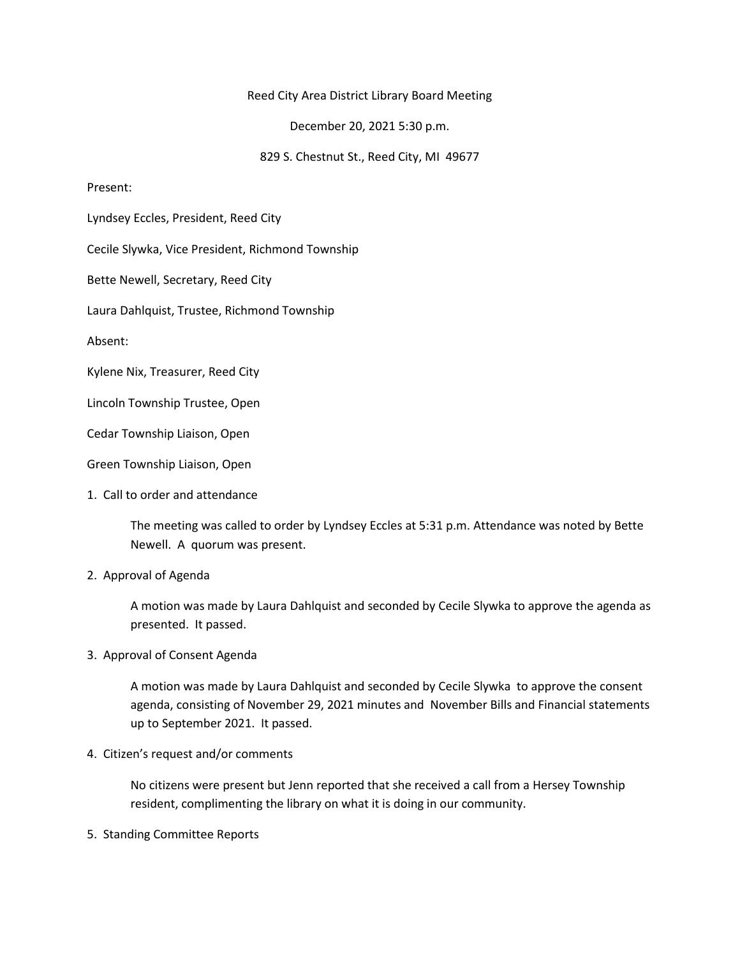## Reed City Area District Library Board Meeting

December 20, 2021 5:30 p.m.

829 S. Chestnut St., Reed City, MI 49677

### Present:

Lyndsey Eccles, President, Reed City

Cecile Slywka, Vice President, Richmond Township

Bette Newell, Secretary, Reed City

Laura Dahlquist, Trustee, Richmond Township

Absent:

Kylene Nix, Treasurer, Reed City

Lincoln Township Trustee, Open

Cedar Township Liaison, Open

Green Township Liaison, Open

#### 1. Call to order and attendance

The meeting was called to order by Lyndsey Eccles at 5:31 p.m. Attendance was noted by Bette Newell. A quorum was present.

### 2. Approval of Agenda

A motion was made by Laura Dahlquist and seconded by Cecile Slywka to approve the agenda as presented. It passed.

### 3. Approval of Consent Agenda

A motion was made by Laura Dahlquist and seconded by Cecile Slywka to approve the consent agenda, consisting of November 29, 2021 minutes and November Bills and Financial statements up to September 2021. It passed.

### 4. Citizen's request and/or comments

No citizens were present but Jenn reported that she received a call from a Hersey Township resident, complimenting the library on what it is doing in our community.

5. Standing Committee Reports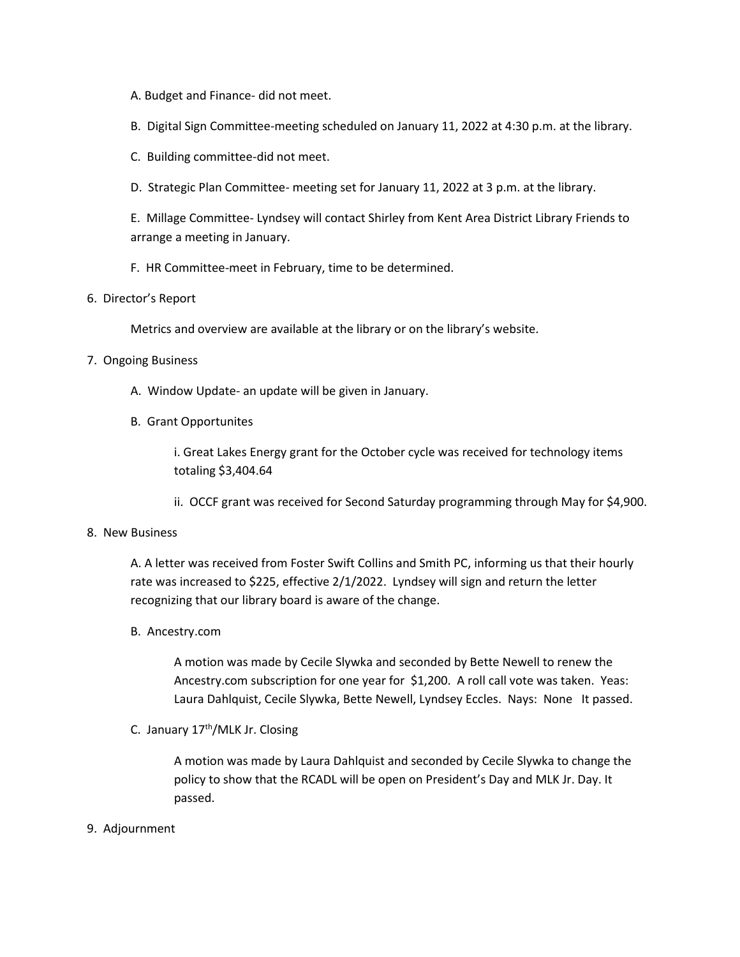A. Budget and Finance- did not meet.

B. Digital Sign Committee-meeting scheduled on January 11, 2022 at 4:30 p.m. at the library.

C. Building committee-did not meet.

D. Strategic Plan Committee- meeting set for January 11, 2022 at 3 p.m. at the library.

E. Millage Committee- Lyndsey will contact Shirley from Kent Area District Library Friends to arrange a meeting in January.

F. HR Committee-meet in February, time to be determined.

### 6. Director's Report

Metrics and overview are available at the library or on the library's website.

## 7. Ongoing Business

- A. Window Update- an update will be given in January.
- B. Grant Opportunites

i. Great Lakes Energy grant for the October cycle was received for technology items totaling \$3,404.64

ii. OCCF grant was received for Second Saturday programming through May for \$4,900.

### 8. New Business

A. A letter was received from Foster Swift Collins and Smith PC, informing us that their hourly rate was increased to \$225, effective 2/1/2022. Lyndsey will sign and return the letter recognizing that our library board is aware of the change.

B. Ancestry.com

A motion was made by Cecile Slywka and seconded by Bette Newell to renew the Ancestry.com subscription for one year for \$1,200. A roll call vote was taken. Yeas: Laura Dahlquist, Cecile Slywka, Bette Newell, Lyndsey Eccles. Nays: None It passed.

# C. January 17<sup>th</sup>/MLK Jr. Closing

A motion was made by Laura Dahlquist and seconded by Cecile Slywka to change the policy to show that the RCADL will be open on President's Day and MLK Jr. Day. It passed.

### 9. Adjournment